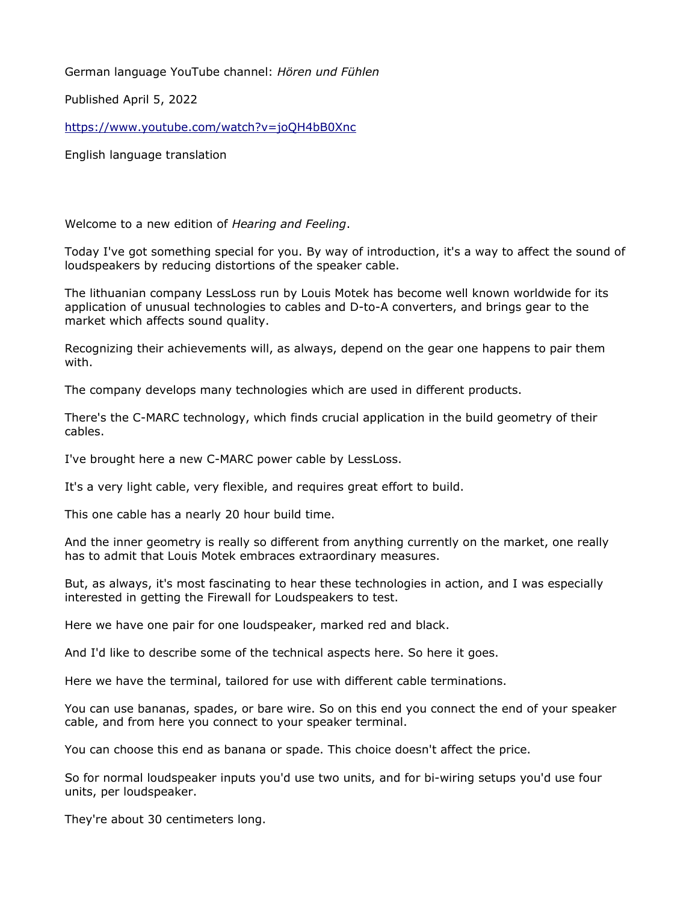German language YouTube channel: *Hören und Fühlen*

Published April 5, 2022

<https://www.youtube.com/watch?v=joQH4bB0Xnc>

English language translation

Welcome to a new edition of *Hearing and Feeling*.

Today I've got something special for you. By way of introduction, it's a way to affect the sound of loudspeakers by reducing distortions of the speaker cable.

The lithuanian company LessLoss run by Louis Motek has become well known worldwide for its application of unusual technologies to cables and D-to-A converters, and brings gear to the market which affects sound quality.

Recognizing their achievements will, as always, depend on the gear one happens to pair them with.

The company develops many technologies which are used in different products.

There's the C-MARC technology, which finds crucial application in the build geometry of their cables.

I've brought here a new C-MARC power cable by LessLoss.

It's a very light cable, very flexible, and requires great effort to build.

This one cable has a nearly 20 hour build time.

And the inner geometry is really so different from anything currently on the market, one really has to admit that Louis Motek embraces extraordinary measures.

But, as always, it's most fascinating to hear these technologies in action, and I was especially interested in getting the Firewall for Loudspeakers to test.

Here we have one pair for one loudspeaker, marked red and black.

And I'd like to describe some of the technical aspects here. So here it goes.

Here we have the terminal, tailored for use with different cable terminations.

You can use bananas, spades, or bare wire. So on this end you connect the end of your speaker cable, and from here you connect to your speaker terminal.

You can choose this end as banana or spade. This choice doesn't affect the price.

So for normal loudspeaker inputs you'd use two units, and for bi-wiring setups you'd use four units, per loudspeaker.

They're about 30 centimeters long.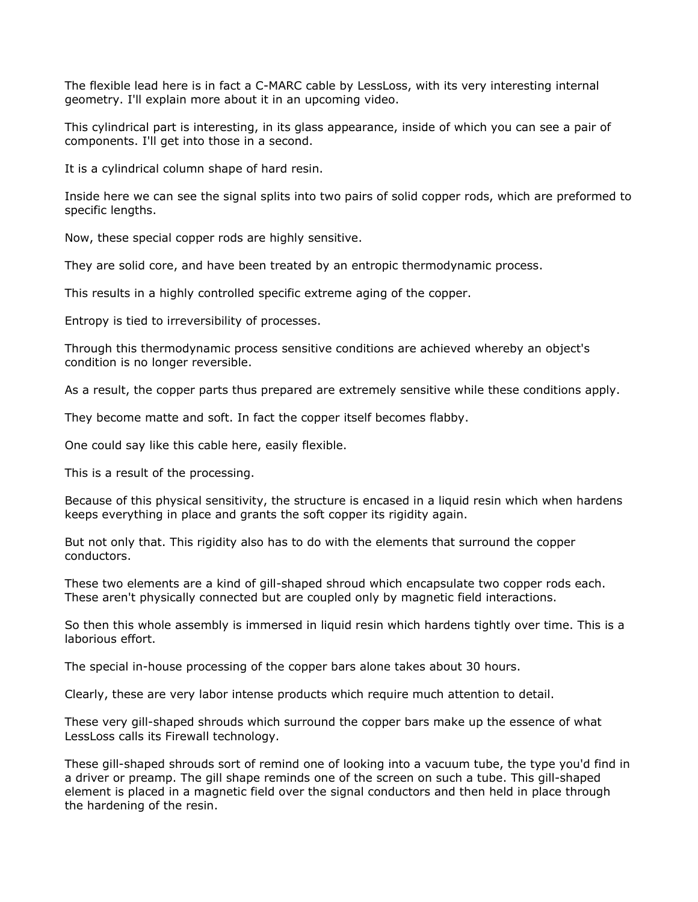The flexible lead here is in fact a C-MARC cable by LessLoss, with its very interesting internal geometry. I'll explain more about it in an upcoming video.

This cylindrical part is interesting, in its glass appearance, inside of which you can see a pair of components. I'll get into those in a second.

It is a cylindrical column shape of hard resin.

Inside here we can see the signal splits into two pairs of solid copper rods, which are preformed to specific lengths.

Now, these special copper rods are highly sensitive.

They are solid core, and have been treated by an entropic thermodynamic process.

This results in a highly controlled specific extreme aging of the copper.

Entropy is tied to irreversibility of processes.

Through this thermodynamic process sensitive conditions are achieved whereby an object's condition is no longer reversible.

As a result, the copper parts thus prepared are extremely sensitive while these conditions apply.

They become matte and soft. In fact the copper itself becomes flabby.

One could say like this cable here, easily flexible.

This is a result of the processing.

Because of this physical sensitivity, the structure is encased in a liquid resin which when hardens keeps everything in place and grants the soft copper its rigidity again.

But not only that. This rigidity also has to do with the elements that surround the copper conductors.

These two elements are a kind of gill-shaped shroud which encapsulate two copper rods each. These aren't physically connected but are coupled only by magnetic field interactions.

So then this whole assembly is immersed in liquid resin which hardens tightly over time. This is a laborious effort.

The special in-house processing of the copper bars alone takes about 30 hours.

Clearly, these are very labor intense products which require much attention to detail.

These very gill-shaped shrouds which surround the copper bars make up the essence of what LessLoss calls its Firewall technology.

These gill-shaped shrouds sort of remind one of looking into a vacuum tube, the type you'd find in a driver or preamp. The gill shape reminds one of the screen on such a tube. This gill-shaped element is placed in a magnetic field over the signal conductors and then held in place through the hardening of the resin.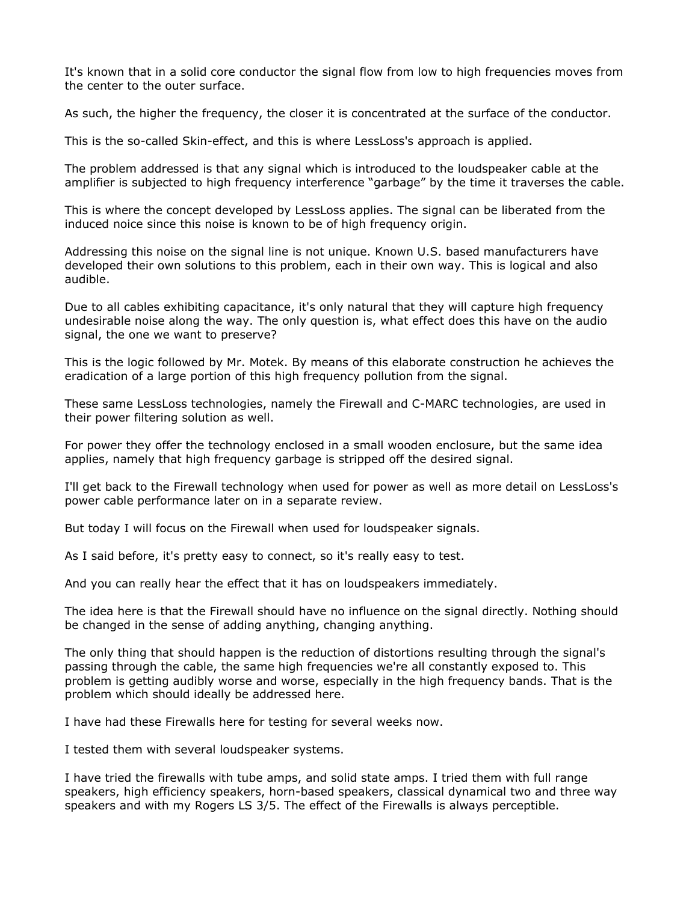It's known that in a solid core conductor the signal flow from low to high frequencies moves from the center to the outer surface.

As such, the higher the frequency, the closer it is concentrated at the surface of the conductor.

This is the so-called Skin-effect, and this is where LessLoss's approach is applied.

The problem addressed is that any signal which is introduced to the loudspeaker cable at the amplifier is subjected to high frequency interference "garbage" by the time it traverses the cable.

This is where the concept developed by LessLoss applies. The signal can be liberated from the induced noice since this noise is known to be of high frequency origin.

Addressing this noise on the signal line is not unique. Known U.S. based manufacturers have developed their own solutions to this problem, each in their own way. This is logical and also audible.

Due to all cables exhibiting capacitance, it's only natural that they will capture high frequency undesirable noise along the way. The only question is, what effect does this have on the audio signal, the one we want to preserve?

This is the logic followed by Mr. Motek. By means of this elaborate construction he achieves the eradication of a large portion of this high frequency pollution from the signal.

These same LessLoss technologies, namely the Firewall and C-MARC technologies, are used in their power filtering solution as well.

For power they offer the technology enclosed in a small wooden enclosure, but the same idea applies, namely that high frequency garbage is stripped off the desired signal.

I'll get back to the Firewall technology when used for power as well as more detail on LessLoss's power cable performance later on in a separate review.

But today I will focus on the Firewall when used for loudspeaker signals.

As I said before, it's pretty easy to connect, so it's really easy to test.

And you can really hear the effect that it has on loudspeakers immediately.

The idea here is that the Firewall should have no influence on the signal directly. Nothing should be changed in the sense of adding anything, changing anything.

The only thing that should happen is the reduction of distortions resulting through the signal's passing through the cable, the same high frequencies we're all constantly exposed to. This problem is getting audibly worse and worse, especially in the high frequency bands. That is the problem which should ideally be addressed here.

I have had these Firewalls here for testing for several weeks now.

I tested them with several loudspeaker systems.

I have tried the firewalls with tube amps, and solid state amps. I tried them with full range speakers, high efficiency speakers, horn-based speakers, classical dynamical two and three way speakers and with my Rogers LS 3/5. The effect of the Firewalls is always perceptible.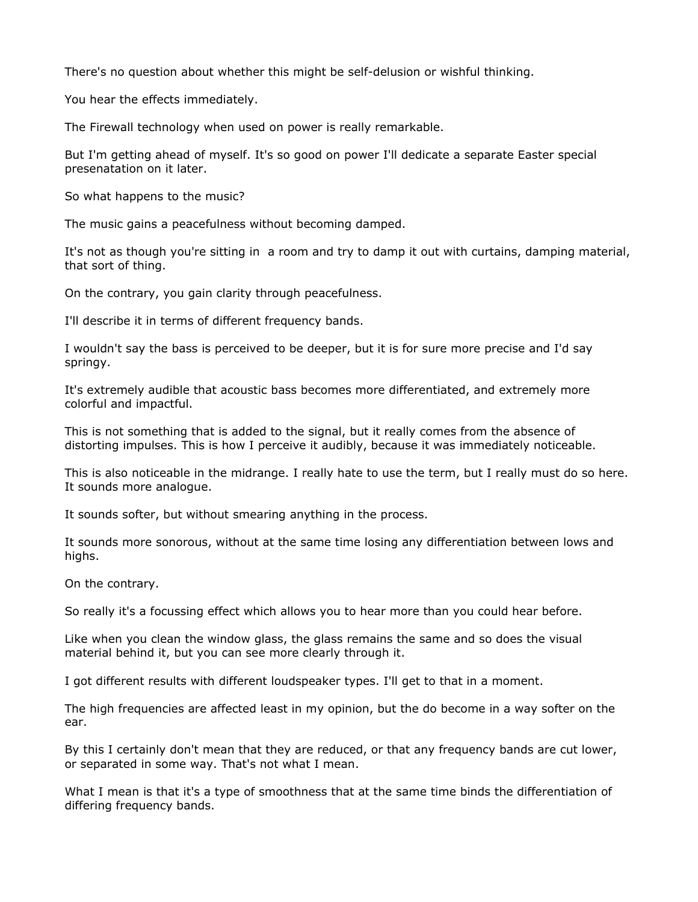There's no question about whether this might be self-delusion or wishful thinking.

You hear the effects immediately.

The Firewall technology when used on power is really remarkable.

But I'm getting ahead of myself. It's so good on power I'll dedicate a separate Easter special presenatation on it later.

So what happens to the music?

The music gains a peacefulness without becoming damped.

It's not as though you're sitting in a room and try to damp it out with curtains, damping material, that sort of thing.

On the contrary, you gain clarity through peacefulness.

I'll describe it in terms of different frequency bands.

I wouldn't say the bass is perceived to be deeper, but it is for sure more precise and I'd say springy.

It's extremely audible that acoustic bass becomes more differentiated, and extremely more colorful and impactful.

This is not something that is added to the signal, but it really comes from the absence of distorting impulses. This is how I perceive it audibly, because it was immediately noticeable.

This is also noticeable in the midrange. I really hate to use the term, but I really must do so here. It sounds more analogue.

It sounds softer, but without smearing anything in the process.

It sounds more sonorous, without at the same time losing any differentiation between lows and highs.

On the contrary.

So really it's a focussing effect which allows you to hear more than you could hear before.

Like when you clean the window glass, the glass remains the same and so does the visual material behind it, but you can see more clearly through it.

I got different results with different loudspeaker types. I'll get to that in a moment.

The high frequencies are affected least in my opinion, but the do become in a way softer on the ear.

By this I certainly don't mean that they are reduced, or that any frequency bands are cut lower, or separated in some way. That's not what I mean.

What I mean is that it's a type of smoothness that at the same time binds the differentiation of differing frequency bands.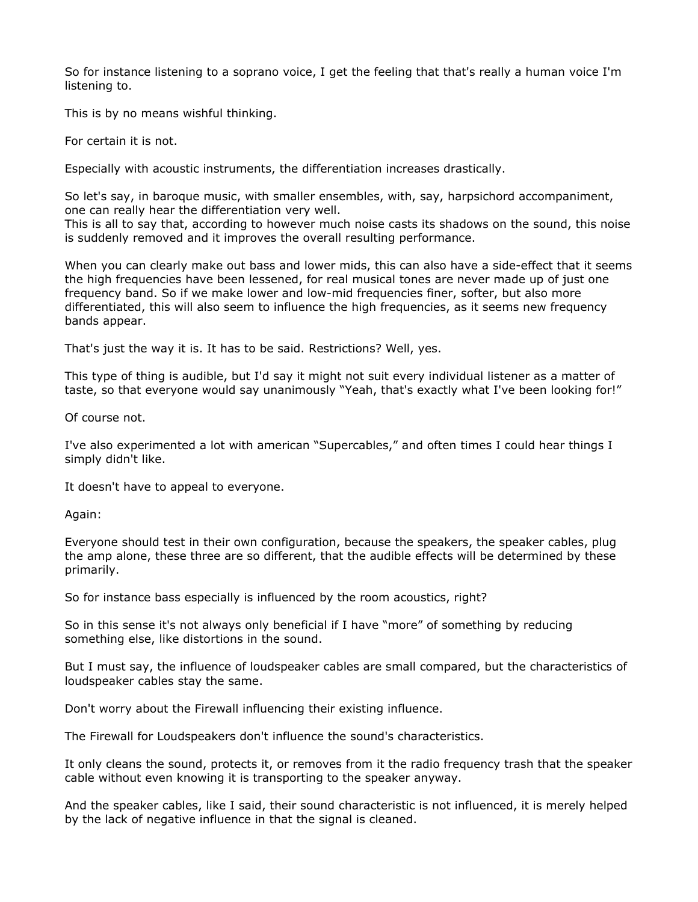So for instance listening to a soprano voice, I get the feeling that that's really a human voice I'm listening to.

This is by no means wishful thinking.

For certain it is not.

Especially with acoustic instruments, the differentiation increases drastically.

So let's say, in baroque music, with smaller ensembles, with, say, harpsichord accompaniment, one can really hear the differentiation very well.

This is all to say that, according to however much noise casts its shadows on the sound, this noise is suddenly removed and it improves the overall resulting performance.

When you can clearly make out bass and lower mids, this can also have a side-effect that it seems the high frequencies have been lessened, for real musical tones are never made up of just one frequency band. So if we make lower and low-mid frequencies finer, softer, but also more differentiated, this will also seem to influence the high frequencies, as it seems new frequency bands appear.

That's just the way it is. It has to be said. Restrictions? Well, yes.

This type of thing is audible, but I'd say it might not suit every individual listener as a matter of taste, so that everyone would say unanimously "Yeah, that's exactly what I've been looking for!"

Of course not.

I've also experimented a lot with american "Supercables," and often times I could hear things I simply didn't like.

It doesn't have to appeal to everyone.

Again:

Everyone should test in their own configuration, because the speakers, the speaker cables, plug the amp alone, these three are so different, that the audible effects will be determined by these primarily.

So for instance bass especially is influenced by the room acoustics, right?

So in this sense it's not always only beneficial if I have "more" of something by reducing something else, like distortions in the sound.

But I must say, the influence of loudspeaker cables are small compared, but the characteristics of loudspeaker cables stay the same.

Don't worry about the Firewall influencing their existing influence.

The Firewall for Loudspeakers don't influence the sound's characteristics.

It only cleans the sound, protects it, or removes from it the radio frequency trash that the speaker cable without even knowing it is transporting to the speaker anyway.

And the speaker cables, like I said, their sound characteristic is not influenced, it is merely helped by the lack of negative influence in that the signal is cleaned.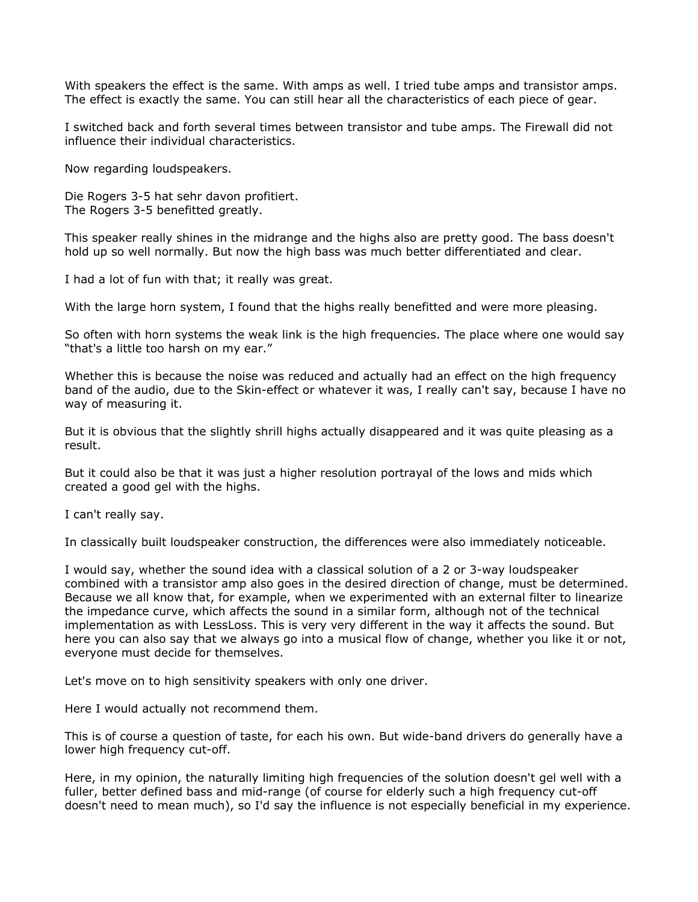With speakers the effect is the same. With amps as well. I tried tube amps and transistor amps. The effect is exactly the same. You can still hear all the characteristics of each piece of gear.

I switched back and forth several times between transistor and tube amps. The Firewall did not influence their individual characteristics.

Now regarding loudspeakers.

Die Rogers 3-5 hat sehr davon profitiert. The Rogers 3-5 benefitted greatly.

This speaker really shines in the midrange and the highs also are pretty good. The bass doesn't hold up so well normally. But now the high bass was much better differentiated and clear.

I had a lot of fun with that; it really was great.

With the large horn system, I found that the highs really benefitted and were more pleasing.

So often with horn systems the weak link is the high frequencies. The place where one would say "that's a little too harsh on my ear."

Whether this is because the noise was reduced and actually had an effect on the high frequency band of the audio, due to the Skin-effect or whatever it was, I really can't say, because I have no way of measuring it.

But it is obvious that the slightly shrill highs actually disappeared and it was quite pleasing as a result.

But it could also be that it was just a higher resolution portrayal of the lows and mids which created a good gel with the highs.

I can't really say.

In classically built loudspeaker construction, the differences were also immediately noticeable.

I would say, whether the sound idea with a classical solution of a 2 or 3-way loudspeaker combined with a transistor amp also goes in the desired direction of change, must be determined. Because we all know that, for example, when we experimented with an external filter to linearize the impedance curve, which affects the sound in a similar form, although not of the technical implementation as with LessLoss. This is very very different in the way it affects the sound. But here you can also say that we always go into a musical flow of change, whether you like it or not, everyone must decide for themselves.

Let's move on to high sensitivity speakers with only one driver.

Here I would actually not recommend them.

This is of course a question of taste, for each his own. But wide-band drivers do generally have a lower high frequency cut-off.

Here, in my opinion, the naturally limiting high frequencies of the solution doesn't gel well with a fuller, better defined bass and mid-range (of course for elderly such a high frequency cut-off doesn't need to mean much), so I'd say the influence is not especially beneficial in my experience.